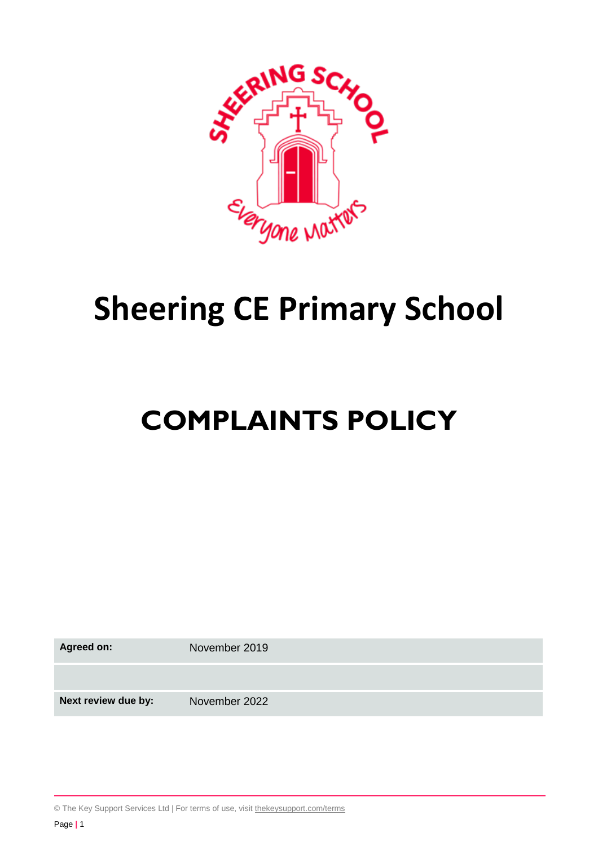

# **Sheering CE Primary School**

# **COMPLAINTS POLICY**

**Agreed on:** November 2019

**Next review due by:** November 2022

© The Key Support Services Ltd | For terms of use, visit [thekeysupport.com/terms](https://thekeysupport.com/terms-of-use)

Page **|** 1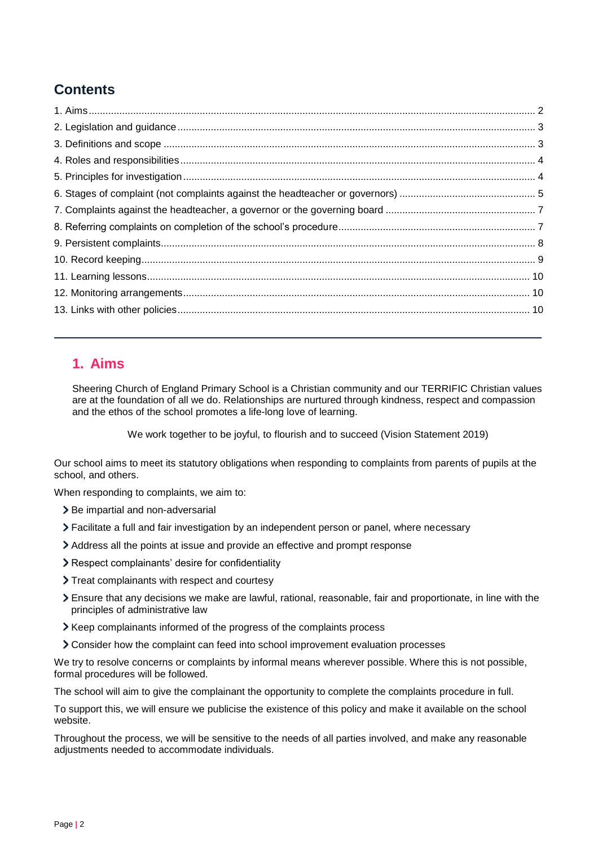# <span id="page-1-1"></span>**Contents**

# <span id="page-1-0"></span>**1. Aims**

Sheering Church of England Primary School is a Christian community and our TERRIFIC Christian values are at the foundation of all we do. Relationships are nurtured through kindness, respect and compassion and the ethos of the school promotes a life-long love of learning.

We work together to be joyful, to flourish and to succeed (Vision Statement 2019)

Our school aims to meet its statutory obligations when responding to complaints from parents of pupils at the school, and others.

When responding to complaints, we aim to:

- > Be impartial and non-adversarial
- Facilitate a full and fair investigation by an independent person or panel, where necessary
- Address all the points at issue and provide an effective and prompt response
- Respect complainants' desire for confidentiality
- > Treat complainants with respect and courtesy
- Ensure that any decisions we make are lawful, rational, reasonable, fair and proportionate, in line with the principles of administrative law
- > Keep complainants informed of the progress of the complaints process
- Consider how the complaint can feed into school improvement evaluation processes

We try to resolve concerns or complaints by informal means wherever possible. Where this is not possible, formal procedures will be followed.

The school will aim to give the complainant the opportunity to complete the complaints procedure in full.

To support this, we will ensure we publicise the existence of this policy and make it available on the school website.

Throughout the process, we will be sensitive to the needs of all parties involved, and make any reasonable adjustments needed to accommodate individuals.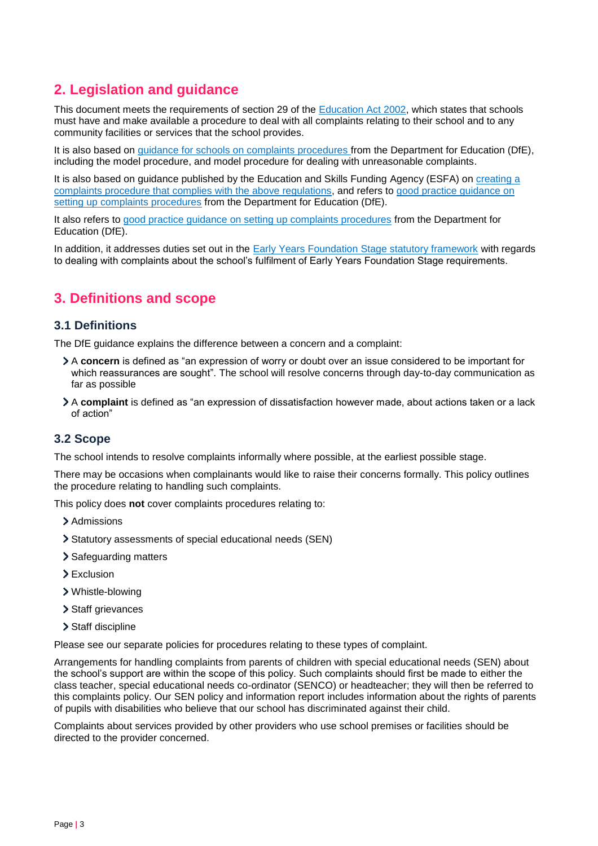# <span id="page-2-1"></span>**2. Legislation and guidance**

This document meets the requirements of section 29 of the [Education Act 2002,](http://www.legislation.gov.uk/ukpga/2002/32/section/29) which states that schools must have and make available a procedure to deal with all complaints relating to their school and to any community facilities or services that the school provides.

It is also based on [guidance for schools on complaints procedures](https://www.gov.uk/government/publications/school-complaints-procedures) from the Department for Education (DfE), including the model procedure, and model procedure for dealing with unreasonable complaints.

It is also based on guidance published by the Education and Skills Funding Agency (ESFA) on [creating a](https://www.gov.uk/government/publications/setting-up-an-academies-complaints-procedure)  [complaints procedure that complies with the above regulations,](https://www.gov.uk/government/publications/setting-up-an-academies-complaints-procedure) and refers to [good practice guidance on](https://www.gov.uk/government/publications/school-complaints-procedures)  [setting up complaints procedures](https://www.gov.uk/government/publications/school-complaints-procedures) from the Department for Education (DfE).

It also refers to [good practice guidance on setting up complaints procedures](https://www.gov.uk/government/publications/school-complaints-procedures) from the Department for Education (DfE).

In addition, it addresses duties set out in the **Early Years Foundation Stage statutory framework** with regards to dealing with complaints about the school's fulfilment of Early Years Foundation Stage requirements.

# <span id="page-2-0"></span>**3. Definitions and scope**

## **3.1 Definitions**

The DfE guidance explains the difference between a concern and a complaint:

- A **concern** is defined as "an expression of worry or doubt over an issue considered to be important for which reassurances are sought". The school will resolve concerns through day-to-day communication as far as possible
- A **complaint** is defined as "an expression of dissatisfaction however made, about actions taken or a lack of action"

# **3.2 Scope**

The school intends to resolve complaints informally where possible, at the earliest possible stage.

There may be occasions when complainants would like to raise their concerns formally. This policy outlines the procedure relating to handling such complaints.

This policy does **not** cover complaints procedures relating to:

- > Admissions
- Statutory assessments of special educational needs (SEN)
- > Safeguarding matters
- > Exclusion
- Whistle-blowing
- > Staff grievances
- > Staff discipline

Please see our separate policies for procedures relating to these types of complaint.

Arrangements for handling complaints from parents of children with special educational needs (SEN) about the school's support are within the scope of this policy. Such complaints should first be made to either the class teacher, special educational needs co-ordinator (SENCO) or headteacher; they will then be referred to this complaints policy. Our SEN policy and information report includes information about the rights of parents of pupils with disabilities who believe that our school has discriminated against their child.

Complaints about services provided by other providers who use school premises or facilities should be directed to the provider concerned.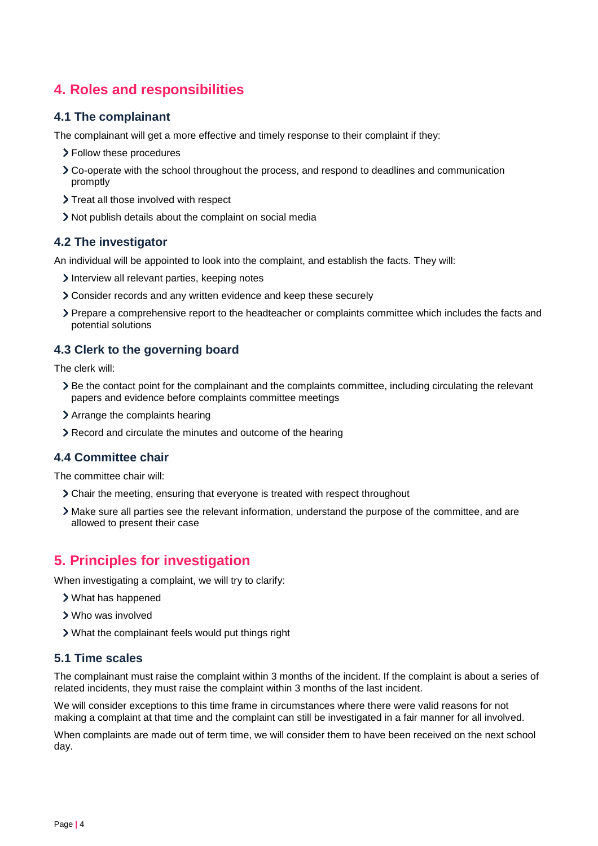# **4. Roles and responsibilities**

## **4.1 The complainant**

The complainant will get a more effective and timely response to their complaint if they:

- Follow these procedures
- Co-operate with the school throughout the process, and respond to deadlines and communication promptly
- > Treat all those involved with respect
- Not publish details about the complaint on social media

## **4.2 The investigator**

An individual will be appointed to look into the complaint, and establish the facts. They will:

- Interview all relevant parties, keeping notes
- Consider records and any written evidence and keep these securely
- Prepare a comprehensive report to the headteacher or complaints committee which includes the facts and potential solutions

## **4.3 Clerk to the governing board**

The clerk will:

- Be the contact point for the complainant and the complaints committee, including circulating the relevant papers and evidence before complaints committee meetings
- Arrange the complaints hearing
- Record and circulate the minutes and outcome of the hearing

## **4.4 Committee chair**

The committee chair will:

- Chair the meeting, ensuring that everyone is treated with respect throughout
- Make sure all parties see the relevant information, understand the purpose of the committee, and are allowed to present their case

# <span id="page-3-0"></span>**5. Principles for investigation**

When investigating a complaint, we will try to clarify:

- What has happened
- Who was involved
- What the complainant feels would put things right

## **5.1 Time scales**

The complainant must raise the complaint within 3 months of the incident. If the complaint is about a series of related incidents, they must raise the complaint within 3 months of the last incident.

We will consider exceptions to this time frame in circumstances where there were valid reasons for not making a complaint at that time and the complaint can still be investigated in a fair manner for all involved.

When complaints are made out of term time, we will consider them to have been received on the next school day.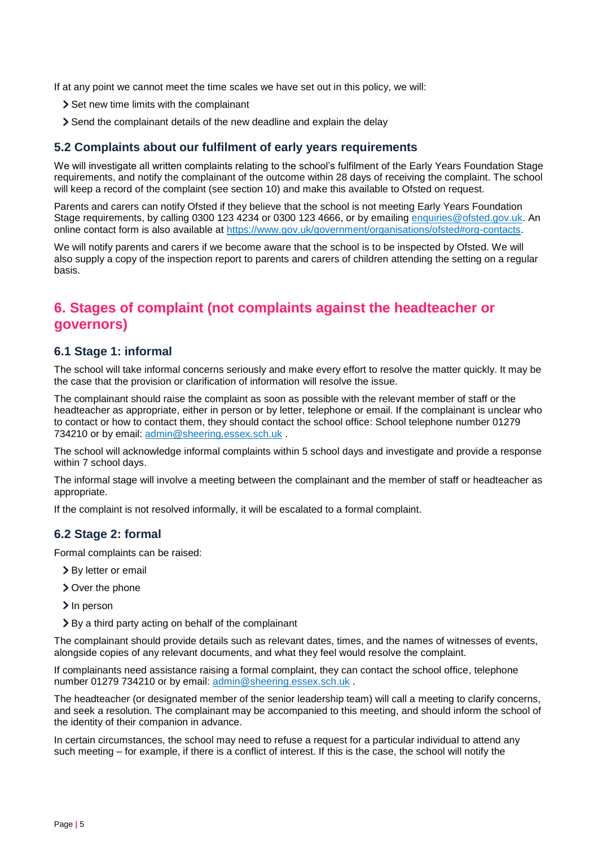If at any point we cannot meet the time scales we have set out in this policy, we will:

- > Set new time limits with the complainant
- Send the complainant details of the new deadline and explain the delay

## **5.2 Complaints about our fulfilment of early years requirements**

We will investigate all written complaints relating to the school's fulfilment of the Early Years Foundation Stage requirements, and notify the complainant of the outcome within 28 days of receiving the complaint. The school will keep a record of the complaint (see section 10) and make this available to Ofsted on request.

Parents and carers can notify Ofsted if they believe that the school is not meeting Early Years Foundation Stage requirements, by calling 0300 123 4234 or 0300 123 4666, or by emailing [enquiries@ofsted.gov.uk.](mailto:enquiries@ofsted.gov.uk) An online contact form is also available at [https://www.gov.uk/government/organisations/ofsted#org-contacts.](https://www.gov.uk/government/organisations/ofsted#org-contacts)

We will notify parents and carers if we become aware that the school is to be inspected by Ofsted. We will also supply a copy of the inspection report to parents and carers of children attending the setting on a regular basis.

# <span id="page-4-0"></span>**6. Stages of complaint (not complaints against the headteacher or governors)**

## **6.1 Stage 1: informal**

The school will take informal concerns seriously and make every effort to resolve the matter quickly. It may be the case that the provision or clarification of information will resolve the issue.

The complainant should raise the complaint as soon as possible with the relevant member of staff or the headteacher as appropriate, either in person or by letter, telephone or email. If the complainant is unclear who to contact or how to contact them, they should contact the school office: School telephone number 01279 734210 or by email: [admin@sheering.essex.sch.uk](mailto:admin@sheering.essex.sch.uk).

The school will acknowledge informal complaints within 5 school days and investigate and provide a response within 7 school days.

The informal stage will involve a meeting between the complainant and the member of staff or headteacher as appropriate.

If the complaint is not resolved informally, it will be escalated to a formal complaint.

### **6.2 Stage 2: formal**

Formal complaints can be raised:

- > By letter or email
- > Over the phone
- > In person
- By a third party acting on behalf of the complainant

The complainant should provide details such as relevant dates, times, and the names of witnesses of events, alongside copies of any relevant documents, and what they feel would resolve the complaint.

If complainants need assistance raising a formal complaint, they can contact the school office, telephone number 01279 734210 or by email: [admin@sheering.essex.sch.uk](mailto:admin@sheering.essex.sch.uk).

The headteacher (or designated member of the senior leadership team) will call a meeting to clarify concerns, and seek a resolution. The complainant may be accompanied to this meeting, and should inform the school of the identity of their companion in advance.

In certain circumstances, the school may need to refuse a request for a particular individual to attend any such meeting – for example, if there is a conflict of interest. If this is the case, the school will notify the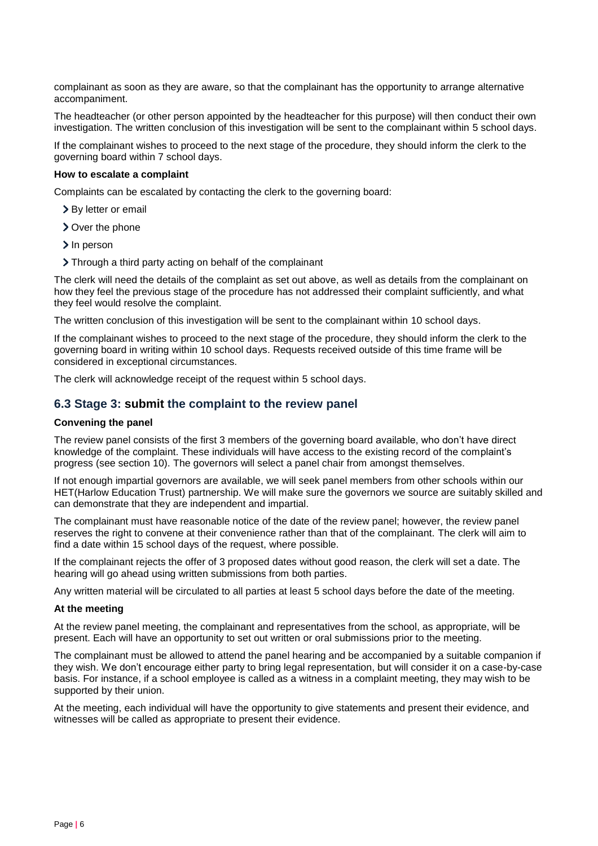complainant as soon as they are aware, so that the complainant has the opportunity to arrange alternative accompaniment.

The headteacher (or other person appointed by the headteacher for this purpose) will then conduct their own investigation. The written conclusion of this investigation will be sent to the complainant within 5 school days.

If the complainant wishes to proceed to the next stage of the procedure, they should inform the clerk to the governing board within 7 school days.

#### **How to escalate a complaint**

Complaints can be escalated by contacting the clerk to the governing board:

- > By letter or email
- > Over the phone
- > In person
- Through a third party acting on behalf of the complainant

The clerk will need the details of the complaint as set out above, as well as details from the complainant on how they feel the previous stage of the procedure has not addressed their complaint sufficiently, and what they feel would resolve the complaint.

The written conclusion of this investigation will be sent to the complainant within 10 school days.

If the complainant wishes to proceed to the next stage of the procedure, they should inform the clerk to the governing board in writing within 10 school days. Requests received outside of this time frame will be considered in exceptional circumstances.

The clerk will acknowledge receipt of the request within 5 school days.

## **6.3 Stage 3: submit the complaint to the review panel**

#### **Convening the panel**

The review panel consists of the first 3 members of the governing board available, who don't have direct knowledge of the complaint. These individuals will have access to the existing record of the complaint's progress (see section 10). The governors will select a panel chair from amongst themselves.

If not enough impartial governors are available, we will seek panel members from other schools within our HET(Harlow Education Trust) partnership. We will make sure the governors we source are suitably skilled and can demonstrate that they are independent and impartial.

The complainant must have reasonable notice of the date of the review panel; however, the review panel reserves the right to convene at their convenience rather than that of the complainant. The clerk will aim to find a date within 15 school days of the request, where possible.

If the complainant rejects the offer of 3 proposed dates without good reason, the clerk will set a date. The hearing will go ahead using written submissions from both parties.

Any written material will be circulated to all parties at least 5 school days before the date of the meeting.

#### **At the meeting**

At the review panel meeting, the complainant and representatives from the school, as appropriate, will be present. Each will have an opportunity to set out written or oral submissions prior to the meeting.

The complainant must be allowed to attend the panel hearing and be accompanied by a suitable companion if they wish. We don't encourage either party to bring legal representation, but will consider it on a case-by-case basis. For instance, if a school employee is called as a witness in a complaint meeting, they may wish to be supported by their union.

At the meeting, each individual will have the opportunity to give statements and present their evidence, and witnesses will be called as appropriate to present their evidence.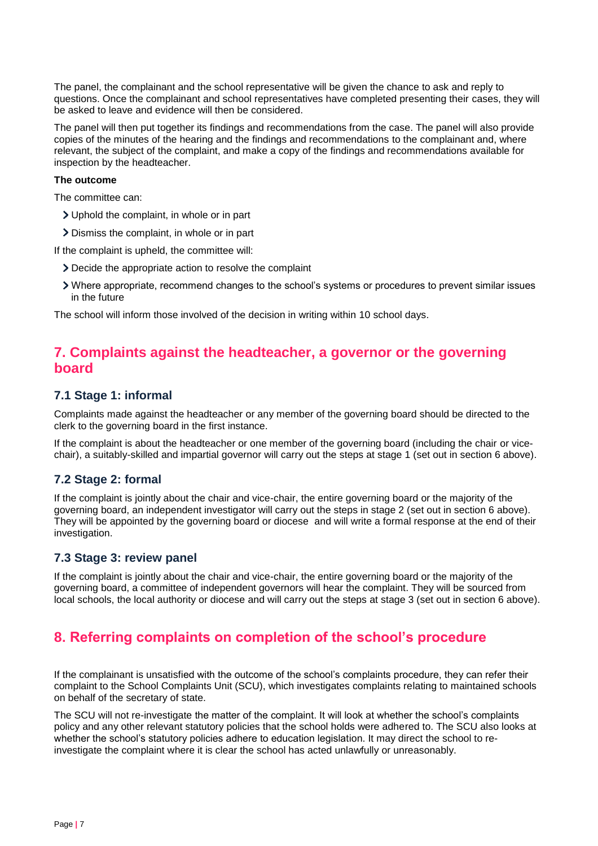The panel, the complainant and the school representative will be given the chance to ask and reply to questions. Once the complainant and school representatives have completed presenting their cases, they will be asked to leave and evidence will then be considered.

The panel will then put together its findings and recommendations from the case. The panel will also provide copies of the minutes of the hearing and the findings and recommendations to the complainant and, where relevant, the subject of the complaint, and make a copy of the findings and recommendations available for inspection by the headteacher.

#### **The outcome**

The committee can:

- Uphold the complaint, in whole or in part
- Dismiss the complaint, in whole or in part

If the complaint is upheld, the committee will:

- Decide the appropriate action to resolve the complaint
- Where appropriate, recommend changes to the school's systems or procedures to prevent similar issues in the future

The school will inform those involved of the decision in writing within 10 school days.

# <span id="page-6-0"></span>**7. Complaints against the headteacher, a governor or the governing board**

## **7.1 Stage 1: informal**

Complaints made against the headteacher or any member of the governing board should be directed to the clerk to the governing board in the first instance.

If the complaint is about the headteacher or one member of the governing board (including the chair or vicechair), a suitably-skilled and impartial governor will carry out the steps at stage 1 (set out in section 6 above).

## **7.2 Stage 2: formal**

If the complaint is jointly about the chair and vice-chair, the entire governing board or the majority of the governing board, an independent investigator will carry out the steps in stage 2 (set out in section 6 above). They will be appointed by the governing board or diocese and will write a formal response at the end of their investigation.

## **7.3 Stage 3: review panel**

If the complaint is jointly about the chair and vice-chair, the entire governing board or the majority of the governing board, a committee of independent governors will hear the complaint. They will be sourced from local schools, the local authority or diocese and will carry out the steps at stage 3 (set out in section 6 above).

# <span id="page-6-1"></span>**8. Referring complaints on completion of the school's procedure**

If the complainant is unsatisfied with the outcome of the school's complaints procedure, they can refer their complaint to the School Complaints Unit (SCU), which investigates complaints relating to maintained schools on behalf of the secretary of state.

The SCU will not re-investigate the matter of the complaint. It will look at whether the school's complaints policy and any other relevant statutory policies that the school holds were adhered to. The SCU also looks at whether the school's statutory policies adhere to education legislation. It may direct the school to reinvestigate the complaint where it is clear the school has acted unlawfully or unreasonably.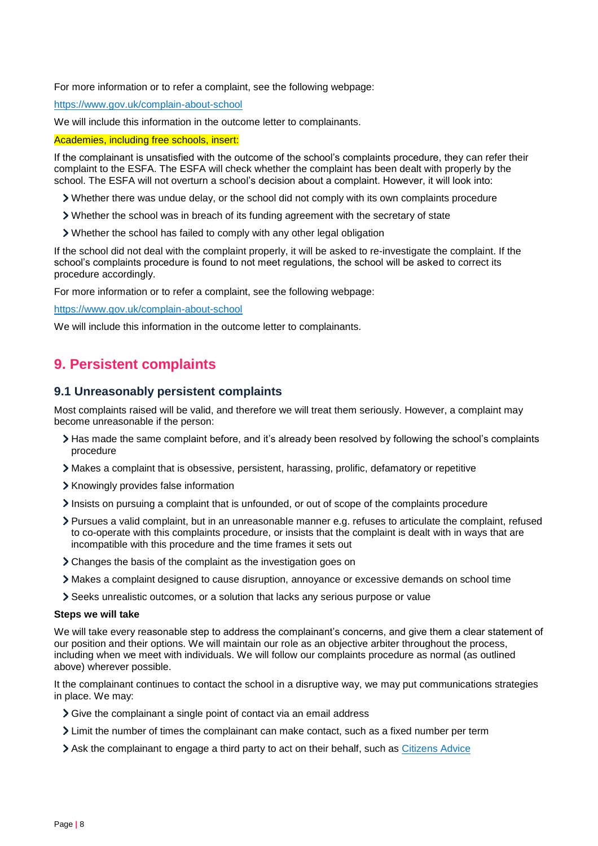For more information or to refer a complaint, see the following webpage:

<https://www.gov.uk/complain-about-school>

We will include this information in the outcome letter to complainants.

Academies, including free schools, insert:

If the complainant is unsatisfied with the outcome of the school's complaints procedure, they can refer their complaint to the ESFA. The ESFA will check whether the complaint has been dealt with properly by the school. The ESFA will not overturn a school's decision about a complaint. However, it will look into:

Whether there was undue delay, or the school did not comply with its own complaints procedure

- Whether the school was in breach of its funding agreement with the secretary of state
- Whether the school has failed to comply with any other legal obligation

If the school did not deal with the complaint properly, it will be asked to re-investigate the complaint. If the school's complaints procedure is found to not meet regulations, the school will be asked to correct its procedure accordingly.

For more information or to refer a complaint, see the following webpage:

<https://www.gov.uk/complain-about-school>

We will include this information in the outcome letter to complainants.

# <span id="page-7-0"></span>**9. Persistent complaints**

## **9.1 Unreasonably persistent complaints**

Most complaints raised will be valid, and therefore we will treat them seriously. However, a complaint may become unreasonable if the person:

- Has made the same complaint before, and it's already been resolved by following the school's complaints procedure
- Makes a complaint that is obsessive, persistent, harassing, prolific, defamatory or repetitive
- > Knowingly provides false information
- Insists on pursuing a complaint that is unfounded, or out of scope of the complaints procedure
- Pursues a valid complaint, but in an unreasonable manner e.g. refuses to articulate the complaint, refused to co-operate with this complaints procedure, or insists that the complaint is dealt with in ways that are incompatible with this procedure and the time frames it sets out
- Changes the basis of the complaint as the investigation goes on
- Makes a complaint designed to cause disruption, annoyance or excessive demands on school time
- Seeks unrealistic outcomes, or a solution that lacks any serious purpose or value

#### **Steps we will take**

We will take every reasonable step to address the complainant's concerns, and give them a clear statement of our position and their options. We will maintain our role as an objective arbiter throughout the process, including when we meet with individuals. We will follow our complaints procedure as normal (as outlined above) wherever possible.

It the complainant continues to contact the school in a disruptive way, we may put communications strategies in place. We may:

- Sive the complainant a single point of contact via an email address
- Limit the number of times the complainant can make contact, such as a fixed number per term
- Ask the complainant to engage a third party to act on their behalf, such as [Citizens Advice](https://www.citizensadvice.org.uk/)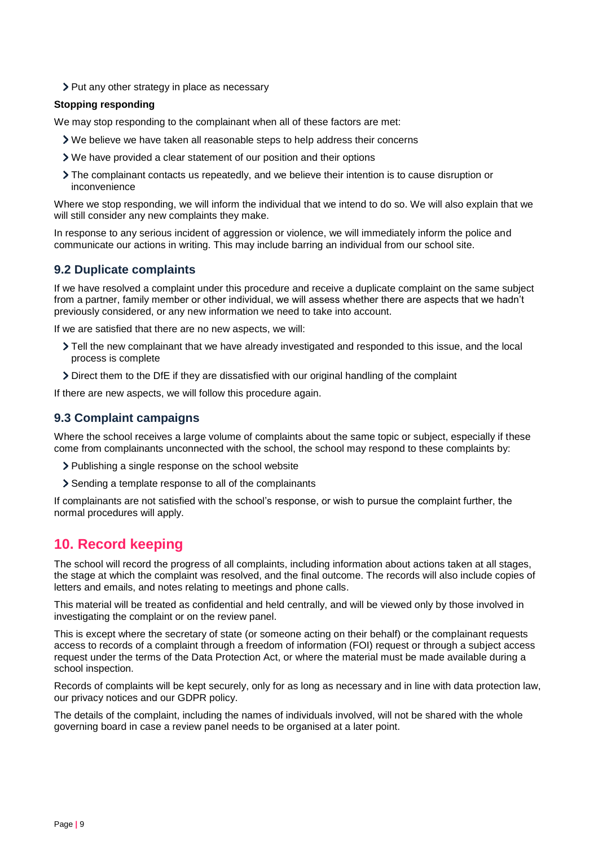> Put any other strategy in place as necessary

#### **Stopping responding**

We may stop responding to the complainant when all of these factors are met:

- We believe we have taken all reasonable steps to help address their concerns
- We have provided a clear statement of our position and their options
- The complainant contacts us repeatedly, and we believe their intention is to cause disruption or inconvenience

Where we stop responding, we will inform the individual that we intend to do so. We will also explain that we will still consider any new complaints they make.

In response to any serious incident of aggression or violence, we will immediately inform the police and communicate our actions in writing. This may include barring an individual from our school site.

## **9.2 Duplicate complaints**

If we have resolved a complaint under this procedure and receive a duplicate complaint on the same subject from a partner, family member or other individual, we will assess whether there are aspects that we hadn't previously considered, or any new information we need to take into account.

If we are satisfied that there are no new aspects, we will:

- Tell the new complainant that we have already investigated and responded to this issue, and the local process is complete
- Direct them to the DfE if they are dissatisfied with our original handling of the complaint

If there are new aspects, we will follow this procedure again.

# **9.3 Complaint campaigns**

Where the school receives a large volume of complaints about the same topic or subject, especially if these come from complainants unconnected with the school, the school may respond to these complaints by:

> Publishing a single response on the school website

Sending a template response to all of the complainants

If complainants are not satisfied with the school's response, or wish to pursue the complaint further, the normal procedures will apply.

# <span id="page-8-0"></span>**10. Record keeping**

The school will record the progress of all complaints, including information about actions taken at all stages, the stage at which the complaint was resolved, and the final outcome. The records will also include copies of letters and emails, and notes relating to meetings and phone calls.

This material will be treated as confidential and held centrally, and will be viewed only by those involved in investigating the complaint or on the review panel.

This is except where the secretary of state (or someone acting on their behalf) or the complainant requests access to records of a complaint through a freedom of information (FOI) request or through a subject access request under the terms of the Data Protection Act, or where the material must be made available during a school inspection.

Records of complaints will be kept securely, only for as long as necessary and in line with data protection law, our privacy notices and our GDPR policy.

The details of the complaint, including the names of individuals involved, will not be shared with the whole governing board in case a review panel needs to be organised at a later point.